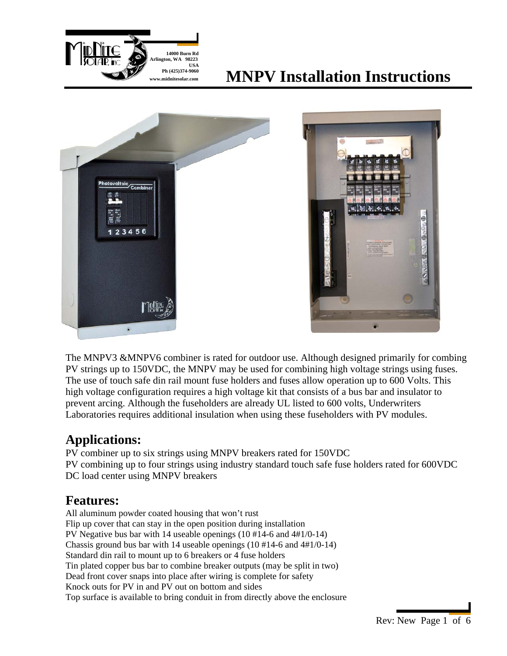

# **Ph** (425)374-9060<br>**MNPV Installation Instructions**





The MNPV3 &MNPV6 combiner is rated for outdoor use. Although designed primarily for combing PV strings up to 150VDC, the MNPV may be used for combining high voltage strings using fuses. The use of touch safe din rail mount fuse holders and fuses allow operation up to 600 Volts. This high voltage configuration requires a high voltage kit that consists of a bus bar and insulator to prevent arcing. Although the fuseholders are already UL listed to 600 volts, Underwriters Laboratories requires additional insulation when using these fuseholders with PV modules.

### **Applications:**

PV combiner up to six strings using MNPV breakers rated for 150VDC PV combining up to four strings using industry standard touch safe fuse holders rated for 600VDC DC load center using MNPV breakers

### **Features:**

All aluminum powder coated housing that won't rust Flip up cover that can stay in the open position during installation PV Negative bus bar with 14 useable openings (10 #14-6 and 4#1/0-14) Chassis ground bus bar with 14 useable openings (10 #14-6 and 4#1/0-14) Standard din rail to mount up to 6 breakers or 4 fuse holders Tin plated copper bus bar to combine breaker outputs (may be split in two) Dead front cover snaps into place after wiring is complete for safety Knock outs for PV in and PV out on bottom and sides Top surface is available to bring conduit in from directly above the enclosure

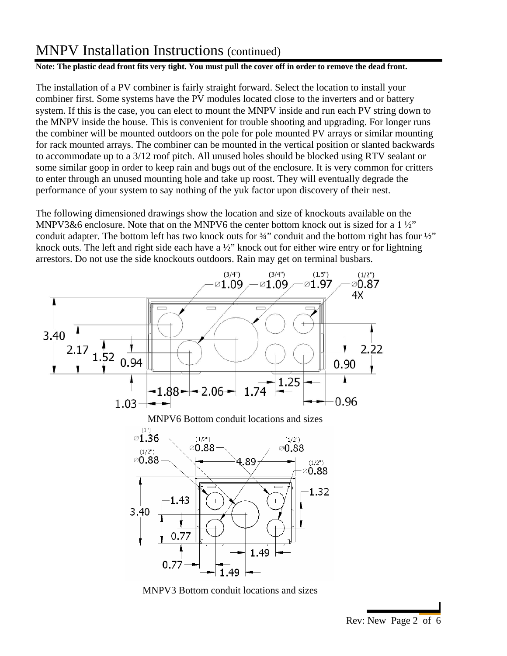#### **Note: The plastic dead front fits very tight. You must pull the cover off in order to remove the dead front.**

The installation of a PV combiner is fairly straight forward. Select the location to install your combiner first. Some systems have the PV modules located close to the inverters and or battery system. If this is the case, you can elect to mount the MNPV inside and run each PV string down to the MNPV inside the house. This is convenient for trouble shooting and upgrading. For longer runs the combiner will be mounted outdoors on the pole for pole mounted PV arrays or similar mounting for rack mounted arrays. The combiner can be mounted in the vertical position or slanted backwards to accommodate up to a 3/12 roof pitch. All unused holes should be blocked using RTV sealant or some similar goop in order to keep rain and bugs out of the enclosure. It is very common for critters to enter through an unused mounting hole and take up roost. They will eventually degrade the performance of your system to say nothing of the yuk factor upon discovery of their nest.

The following dimensioned drawings show the location and size of knockouts available on the MNPV3&6 enclosure. Note that on the MNPV6 the center bottom knock out is sized for a  $1\frac{1}{2}$ " conduit adapter. The bottom left has two knock outs for <sup>3</sup>/4" conduit and the bottom right has four <sup>1</sup>/2" knock outs. The left and right side each have a  $\frac{1}{2}$  knock out for either wire entry or for lightning arrestors. Do not use the side knockouts outdoors. Rain may get on terminal busbars.



MNPV3 Bottom conduit locations and sizes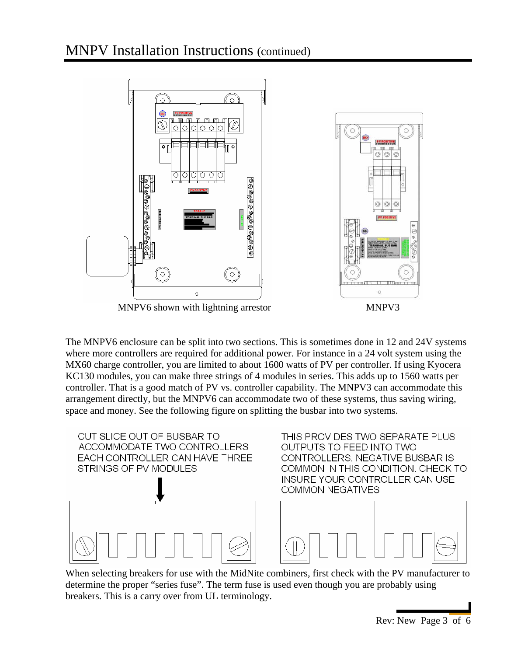

The MNPV6 enclosure can be split into two sections. This is sometimes done in 12 and 24V systems where more controllers are required for additional power. For instance in a 24 volt system using the MX60 charge controller, you are limited to about 1600 watts of PV per controller. If using Kyocera KC130 modules, you can make three strings of 4 modules in series. This adds up to 1560 watts per controller. That is a good match of PV vs. controller capability. The MNPV3 can accommodate this arrangement directly, but the MNPV6 can accommodate two of these systems, thus saving wiring, space and money. See the following figure on splitting the busbar into two systems.



When selecting breakers for use with the MidNite combiners, first check with the PV manufacturer to determine the proper "series fuse". The term fuse is used even though you are probably using breakers. This is a carry over from UL terminology.

Rev: New Page 3 of 6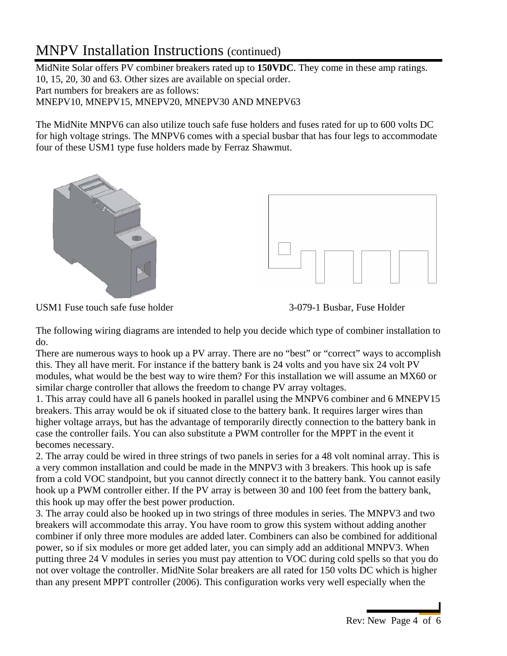MidNite Solar offers PV combiner breakers rated up to **150VDC**. They come in these amp ratings. 10, 15, 20, 30 and 63. Other sizes are available on special order. Part numbers for breakers are as follows: MNEPV10, MNEPV15, MNEPV20, MNEPV30 AND MNEPV63

The MidNite MNPV6 can also utilize touch safe fuse holders and fuses rated for up to 600 volts DC for high voltage strings. The MNPV6 comes with a special busbar that has four legs to accommodate four of these USM1 type fuse holders made by Ferraz Shawmut.



USM1 Fuse touch safe fuse holder 3-079-1 Busbar, Fuse Holder



The following wiring diagrams are intended to help you decide which type of combiner installation to do.

There are numerous ways to hook up a PV array. There are no "best" or "correct" ways to accomplish this. They all have merit. For instance if the battery bank is 24 volts and you have six 24 volt PV modules, what would be the best way to wire them? For this installation we will assume an MX60 or similar charge controller that allows the freedom to change PV array voltages.

1. This array could have all 6 panels hooked in parallel using the MNPV6 combiner and 6 MNEPV15 breakers. This array would be ok if situated close to the battery bank. It requires larger wires than higher voltage arrays, but has the advantage of temporarily directly connection to the battery bank in case the controller fails. You can also substitute a PWM controller for the MPPT in the event it becomes necessary.

2. The array could be wired in three strings of two panels in series for a 48 volt nominal array. This is a very common installation and could be made in the MNPV3 with 3 breakers. This hook up is safe from a cold VOC standpoint, but you cannot directly connect it to the battery bank. You cannot easily hook up a PWM controller either. If the PV array is between 30 and 100 feet from the battery bank, this hook up may offer the best power production.

3. The array could also be hooked up in two strings of three modules in series. The MNPV3 and two breakers will accommodate this array. You have room to grow this system without adding another combiner if only three more modules are added later. Combiners can also be combined for additional power, so if six modules or more get added later, you can simply add an additional MNPV3. When putting three 24 V modules in series you must pay attention to VOC during cold spells so that you do not over voltage the controller. MidNite Solar breakers are all rated for 150 volts DC which is higher than any present MPPT controller (2006). This configuration works very well especially when the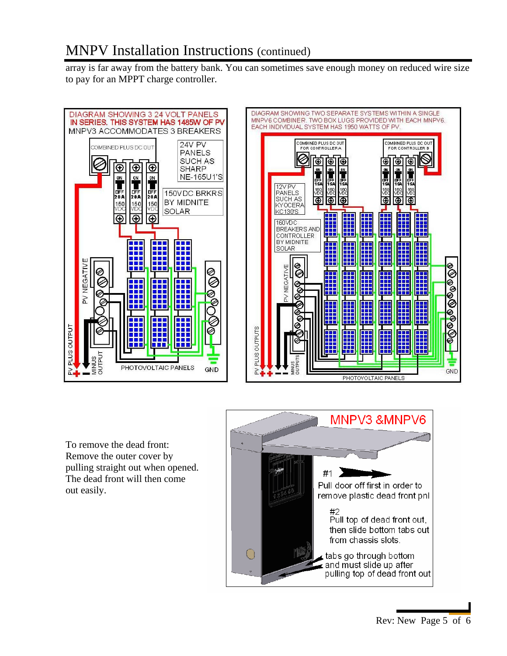array is far away from the battery bank. You can sometimes save enough money on reduced wire size to pay for an MPPT charge controller.





To remove the dead front: Remove the outer cover by pulling straight out when opened. The dead front will then come out easily.